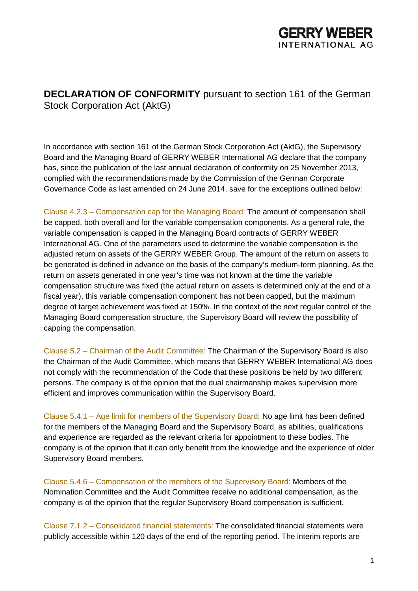

**DECLARATION OF CONFORMITY** pursuant to section 161 of the German Stock Corporation Act (AktG)

In accordance with section 161 of the German Stock Corporation Act (AktG), the Supervisory Board and the Managing Board of GERRY WEBER International AG declare that the company has, since the publication of the last annual declaration of conformity on 25 November 2013, complied with the recommendations made by the Commission of the German Corporate Governance Code as last amended on 24 June 2014, save for the exceptions outlined below:

Clause 4.2.3 – Compensation cap for the Managing Board: The amount of compensation shall be capped, both overall and for the variable compensation components. As a general rule, the variable compensation is capped in the Managing Board contracts of GERRY WEBER International AG. One of the parameters used to determine the variable compensation is the adjusted return on assets of the GERRY WEBER Group. The amount of the return on assets to be generated is defined in advance on the basis of the company's medium-term planning. As the return on assets generated in one year's time was not known at the time the variable compensation structure was fixed (the actual return on assets is determined only at the end of a fiscal year), this variable compensation component has not been capped, but the maximum degree of target achievement was fixed at 150%. In the context of the next regular control of the Managing Board compensation structure, the Supervisory Board will review the possibility of capping the compensation.

Clause 5.2 – Chairman of the Audit Committee: The Chairman of the Supervisory Board is also the Chairman of the Audit Committee, which means that GERRY WEBER International AG does not comply with the recommendation of the Code that these positions be held by two different persons. The company is of the opinion that the dual chairmanship makes supervision more efficient and improves communication within the Supervisory Board.

Clause 5.4.1 – Age limit for members of the Supervisory Board: No age limit has been defined for the members of the Managing Board and the Supervisory Board, as abilities, qualifications and experience are regarded as the relevant criteria for appointment to these bodies. The company is of the opinion that it can only benefit from the knowledge and the experience of older Supervisory Board members.

Clause 5.4.6 – Compensation of the members of the Supervisory Board: Members of the Nomination Committee and the Audit Committee receive no additional compensation, as the company is of the opinion that the regular Supervisory Board compensation is sufficient.

Clause 7.1.2 – Consolidated financial statements: The consolidated financial statements were publicly accessible within 120 days of the end of the reporting period. The interim reports are